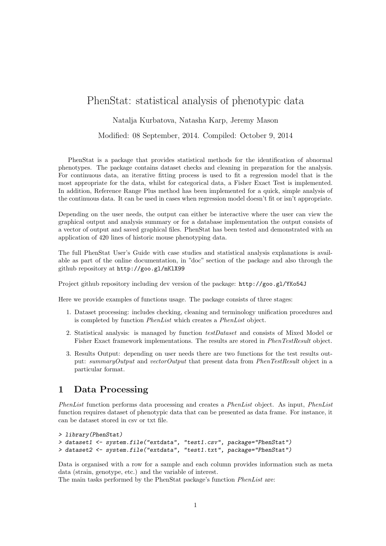# PhenStat: statistical analysis of phenotypic data

Natalja Kurbatova, Natasha Karp, Jeremy Mason

Modified: 08 September, 2014. Compiled: October 9, 2014

PhenStat is a package that provides statistical methods for the identification of abnormal phenotypes. The package contains dataset checks and cleaning in preparation for the analysis. For continuous data, an iterative fitting process is used to fit a regression model that is the most appropriate for the data, whilst for categorical data, a Fisher Exact Test is implemented. In addition, Reference Range Plus method has been implemented for a quick, simple analysis of the continuous data. It can be used in cases when regression model doesn't fit or isn't appropriate.

Depending on the user needs, the output can either be interactive where the user can view the graphical output and analysis summary or for a database implementation the output consists of a vector of output and saved graphical files. PhenStat has been tested and demonstrated with an application of 420 lines of historic mouse phenotyping data.

The full PhenStat User's Guide with case studies and statistical analysis explanations is available as part of the online documentation, in "doc" section of the package and also through the github repository at http://goo.gl/mKlX99

Project github repository including dev version of the package: http://goo.gl/YKo54J

Here we provide examples of functions usage. The package consists of three stages:

- 1. Dataset processing: includes checking, cleaning and terminology unification procedures and is completed by function PhenList which creates a PhenList object.
- 2. Statistical analysis: is managed by function testDataset and consists of Mixed Model or Fisher Exact framework implementations. The results are stored in PhenTestResult object.
- 3. Results Output: depending on user needs there are two functions for the test results output: summaryOutput and vectorOutput that present data from PhenTestResult object in a particular format.

# 1 Data Processing

PhenList function performs data processing and creates a PhenList object. As input, PhenList function requires dataset of phenotypic data that can be presented as data frame. For instance, it can be dataset stored in csv or txt file.

```
> library(PhenStat)
> dataset1 <- system.file("extdata", "test1.csv", package="PhenStat")
> dataset2 <- system.file("extdata", "test1.txt", package="PhenStat")
```
Data is organised with a row for a sample and each column provides information such as meta data (strain, genotype, etc.) and the variable of interest.

The main tasks performed by the PhenStat package's function PhenList are: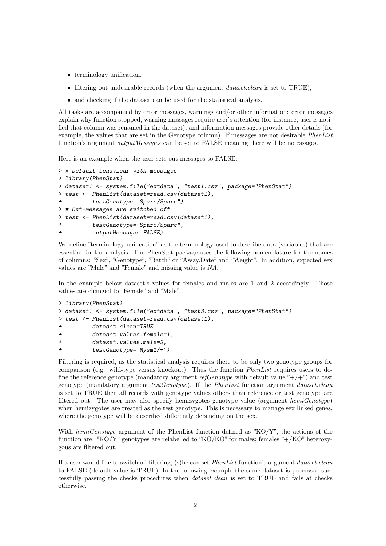- terminology unification,
- $\bullet$  filtering out undesirable records (when the argument *dataset.clean* is set to TRUE),
- and checking if the dataset can be used for the statistical analysis.

All tasks are accompanied by error messages, warnings and/or other information: error messages explain why function stopped, warning messages require user's attention (for instance, user is notified that column was renamed in the dataset), and information messages provide other details (for example, the values that are set in the Genotype column). If messages are not desirable PhenList function's argument *outputMessages* can be set to FALSE meaning there will be no essages.

Here is an example when the user sets out-messages to FALSE:

```
> # Default behaviour with messages
> library(PhenStat)
> dataset1 <- system.file("extdata", "test1.csv", package="PhenStat")
> test <- PhenList(dataset=read.csv(dataset1),
+ testGenotype="Sparc/Sparc")
> # Out-messages are switched off
> test <- PhenList(dataset=read.csv(dataset1),
+ testGenotype="Sparc/Sparc",
         outputMessages=FALSE)
```
We define "terminology unification" as the terminology used to describe data (variables) that are essential for the analysis. The PhenStat package uses the following nomenclature for the names of columns: "Sex", "Genotype", "Batch" or "Assay.Date" and "Weight". In addition, expected sex values are "Male" and "Female" and missing value is NA.

In the example below dataset's values for females and males are 1 and 2 accordingly. Those values are changed to "Female" and "Male".

```
> library(PhenStat)
> dataset1 <- system.file("extdata", "test3.csv", package="PhenStat")
> test <- PhenList(dataset=read.csv(dataset1),
+ dataset.clean=TRUE,
+ dataset.values.female=1,
+ dataset.values.male=2,
+ testGenotype="Mysm1/+")
```
Filtering is required, as the statistical analysis requires there to be only two genotype groups for comparison (e.g. wild-type versus knockout). Thus the function  $PhenList$  requires users to define the reference genotype (mandatory argument  $refGenotype$  with default value "+/+") and test genotype (mandatory argument  $testGenotype$ ). If the PhenList function argument dataset.clean is set to TRUE then all records with genotype values others than reference or test genotype are filtered out. The user may also specify hemizygotes genotype value (argument hemiGenotype) when hemizygotes are treated as the test genotype. This is necessary to manage sex linked genes, where the genotype will be described differently depending on the sex.

With hemiGenotype argument of the PhenList function defined as "KO/Y", the actions of the function are: "KO/Y" genotypes are relabelled to "KO/KO" for males; females " $+/KO$ " heterozygous are filtered out.

If a user would like to switch off filtering, (s)he can set PhenList function's argument dataset.clean to FALSE (default value is TRUE). In the following example the same dataset is processed successfully passing the checks procedures when dataset.clean is set to TRUE and fails at checks otherwise.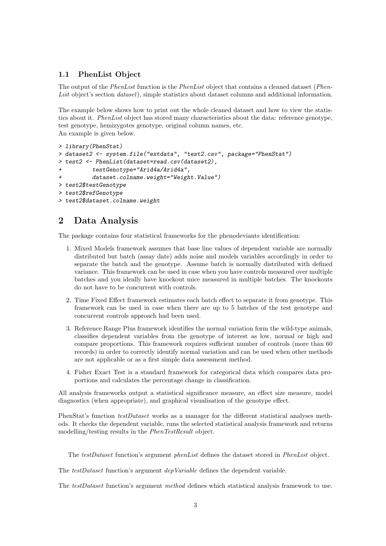#### 1.1 PhenList Object

The output of the *PhenList* function is the *PhenList* object that contains a cleaned dataset (*Phen-*List object's section *dataset*), simple statistics about dataset columns and additional information.

The example below shows how to print out the whole cleaned dataset and how to view the statistics about it. PhenList object has stored many characteristics about the data: reference genotype, test genotype, hemizygotes genotype, original column names, etc. An example is given below.

```
> library(PhenStat)
> dataset2 <- system.file("extdata", "test2.csv", package="PhenStat")
> test2 <- PhenList(dataset=read.csv(dataset2),
+ testGenotype="Arid4a/Arid4a",
+ dataset.colname.weight="Weight.Value")
> test2$testGenotype
> test2$refGenotype
> test2$dataset.colname.weight
```
# 2 Data Analysis

The package contains four statistical frameworks for the phenodeviants identification:

- 1. Mixed Models framework assumes that base line values of dependent variable are normally distributed but batch (assay date) adds noise and models variables accordingly in order to separate the batch and the genotype. Assume batch is normally distributed with defined variance. This framework can be used in case when you have controls measured over multiple batches and you ideally have knockout mice measured in multiple batches. The knockouts do not have to be concurrent with controls.
- 2. Time Fixed Effect framework estimates each batch effect to separate it from genotype. This framework can be used in case when there are up to 5 batches of the test genotype and concurrent controls approach had been used.
- 3. Reference Range Plus framework identifies the normal variation form the wild-type animals, classifies dependent variables from the genotype of interest as low, normal or high and compare proportions. This framework requires sufficient number of controls (more than 60 records) in order to correctly identify normal variation and can be used when other methods are not applicable or as a first simple data assessment method.
- 4. Fisher Exact Test is a standard framework for categorical data which compares data proportions and calculates the percentage change in classification.

All analysis frameworks output a statistical significance measure, an effect size measure, model diagnostics (when appropriate), and graphical visualisation of the genotype effect.

PhenStat's function *testDataset* works as a manager for the different statistical analyses methods. It checks the dependent variable, runs the selected statistical analysis framework and returns modelling/testing results in the PhenTestResult object.

The testDataset function's argument phenList defines the dataset stored in PhenList object.

The testDataset function's argument depVariable defines the dependent variable.

The testDataset function's argument method defines which statistical analysis framework to use.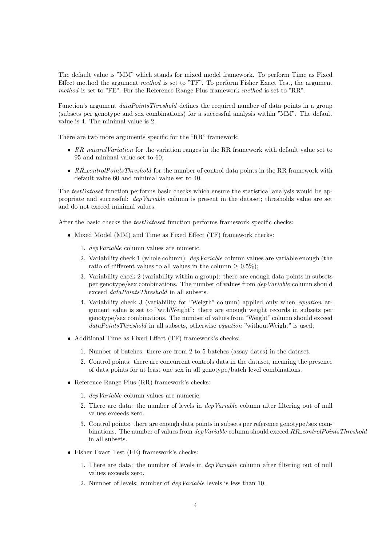The default value is "MM" which stands for mixed model framework. To perform Time as Fixed Effect method the argument method is set to "TF". To perform Fisher Exact Test, the argument method is set to "FE". For the Reference Range Plus framework method is set to "RR".

Function's argument *dataPointsThreshold* defines the required number of data points in a group (subsets per genotype and sex combinations) for a successful analysis within "MM". The default value is 4. The minimal value is 2.

There are two more arguments specific for the "RR" framework:

- RR\_naturalVariation for the variation ranges in the RR framework with default value set to 95 and minimal value set to 60;
- RR\_controlPointsThreshold for the number of control data points in the RR framework with default value 60 and minimal value set to 40.

The *testDataset* function performs basic checks which ensure the statistical analysis would be appropriate and successful: depVariable column is present in the dataset; thresholds value are set and do not exceed minimal values.

After the basic checks the *testDataset* function performs framework specific checks:

- Mixed Model (MM) and Time as Fixed Effect (TF) framework checks:
	- 1. depVariable column values are numeric.
	- 2. Variability check 1 (whole column): depVariable column values are variable enough (the ratio of different values to all values in the column  $\geq 0.5\%$ ;
	- 3. Variability check 2 (variability within a group): there are enough data points in subsets per genotype/sex combinations. The number of values from depVariable column should exceed dataPointsThreshold in all subsets.
	- 4. Variability check 3 (variability for "Weigth" column) applied only when equation argument value is set to "withWeight": there are enough weight records in subsets per genotype/sex combinations. The number of values from "Weight" column should exceed dataPointsThreshold in all subsets, otherwise *equation* "withoutWeight" is used;
- Additional Time as Fixed Effect (TF) framework's checks:
	- 1. Number of batches: there are from 2 to 5 batches (assay dates) in the dataset.
	- 2. Control points: there are concurrent controls data in the dataset, meaning the presence of data points for at least one sex in all genotype/batch level combinations.
- Reference Range Plus (RR) framework's checks:
	- 1. depVariable column values are numeric.
	- 2. There are data: the number of levels in depVariable column after filtering out of null values exceeds zero.
	- 3. Control points: there are enough data points in subsets per reference genotype/sex combinations. The number of values from dep Variable column should exceed RR\_controlPointsThreshold in all subsets.
- Fisher Exact Test (FE) framework's checks:
	- 1. There are data: the number of levels in depVariable column after filtering out of null values exceeds zero.
	- 2. Number of levels: number of depVariable levels is less than 10.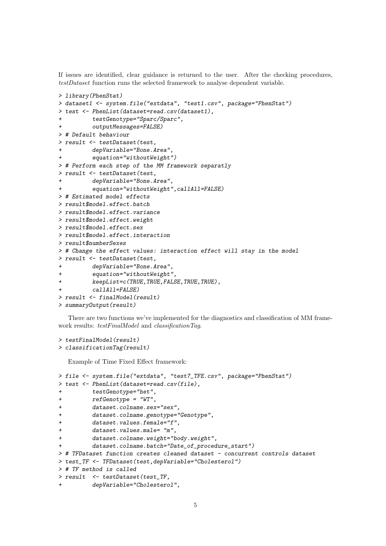If issues are identified, clear guidance is returned to the user. After the checking procedures, testDataset function runs the selected framework to analyse dependent variable.

```
> library(PhenStat)
> dataset1 <- system.file("extdata", "test1.csv", package="PhenStat")
> test <- PhenList(dataset=read.csv(dataset1),
+ testGenotype="Sparc/Sparc",
         outputMessages=FALSE)
> # Default behaviour
> result <- testDataset(test,
+ depVariable="Bone.Area",
         equation="widthoutWeight")> # Perform each step of the MM framework separatly
> result <- testDataset(test,
         depVariable="Bone.Area",
         equation="withoutWeight",callAll=FALSE)
> # Estimated model effects
> result$model.effect.batch
> result$model.effect.variance
> result$model.effect.weight
> result$model.effect.sex
> result$model.effect.interaction
> result$numberSexes
> # Change the effect values: interaction effect will stay in the model
> result <- testDataset(test,
+ depVariable="Bone.Area",
+ equation="withoutWeight",
+ keepList=c(TRUE,TRUE,FALSE,TRUE,TRUE),
         caIIAII = FALSE)
> result <- finalModel(result)
> summaryOutput(result)
```
There are two functions we've implemented for the diagnostics and classification of MM framework results: testFinalModel and classificationTag.

```
> testFinalModel(result)
> classificationTag(result)
```
Example of Time Fixed Effect framework:

```
> file <- system.file("extdata", "test7_TFE.csv", package="PhenStat")
> test <- PhenList(dataset=read.csv(file),
+ testGenotype="het",
+ refGenotype = "WT",
+ dataset.colname.sex="sex",
+ dataset.colname.genotype="Genotype",
+ dataset.values.female="f",
+ dataset.values.male= "m",
+ dataset.colname.weight="body.weight",
         dataset.colname.batch="Date_of_procedure_start")
> # TFDataset function creates cleaned dataset - concurrent controls dataset
> test_TF <- TFDataset(test,depVariable="Cholesterol")
> # TF method is called
> result <- testDataset(test_TF,
         depVariable="Cholesterol",
```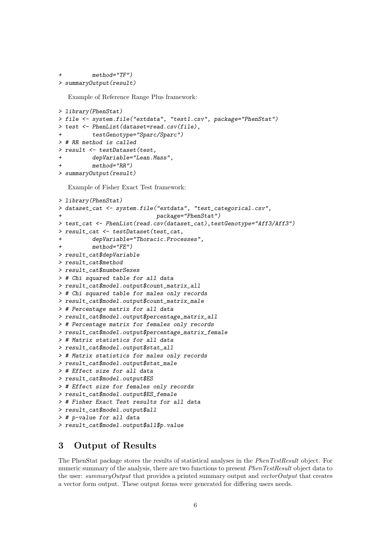```
method="TF")> summaryOutput(result)
```
Example of Reference Range Plus framework:

```
> library(PhenStat)
> file <- system.file("extdata", "test1.csv", package="PhenStat")
> test <- PhenList(dataset=read.csv(file),
          testGenotype="Sparc/Sparc")
> # RR method is called
> result <- testDataset(test,
          depVariable="Lean.Mass",
          method="RR")> summaryOutput(result)
```
Example of Fisher Exact Test framework:

```
> library(PhenStat)
> dataset_cat <- system.file("extdata", "test_categorical.csv",
                            package="PhenStat")
> test_cat <- PhenList(read.csv(dataset_cat),testGenotype="Aff3/Aff3")
> result_cat <- testDataset(test_cat,
+ depVariable="Thoracic.Processes",
         method="FE")> result_cat$depVariable
> result_cat$method
> result_cat$numberSexes
> # Chi squared table for all data
> result_cat$model.output$count_matrix_all
> # Chi squared table for males only records
> result_cat$model.output$count_matrix_male
> # Percentage matrix for all data
> result_cat$model.output$percentage_matrix_all
> # Percentage matrix for females only records
> result_cat$model.output$percentage_matrix_female
> # Matrix statistics for all data
> result cat$model.output$stat all
> # Matrix statistics for males only records
> result_cat$model.output$stat_male
> # Effect size for all data
> result_cat$model.output$ES
> # Effect size for females only records
> result_cat$model.output$ES_female
> # Fisher Exact Test results for all data
> result_cat$model.output$all
> # p-value for all data
> result_cat$model.output$all$p.value
```
### 3 Output of Results

The PhenStat package stores the results of statistical analyses in the PhenTestResult object. For numeric summary of the analysis, there are two functions to present *PhenTestResult* object data to the user: summary Output that provides a printed summary output and vector Output that creates a vector form output. These output forms were generated for differing users needs.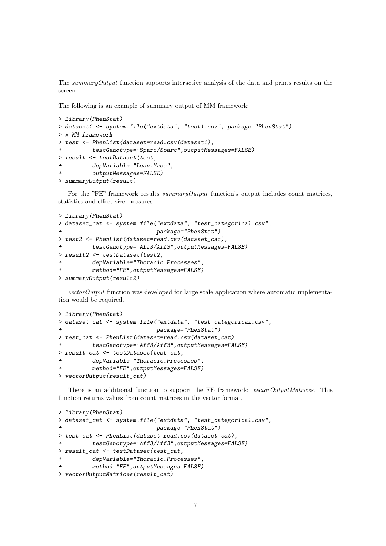The summary Output function supports interactive analysis of the data and prints results on the screen.

The following is an example of summary output of MM framework:

```
> library(PhenStat)
> dataset1 <- system.file("extdata", "test1.csv", package="PhenStat")
> # MM framework
> test <- PhenList(dataset=read.csv(dataset1),
+ testGenotype="Sparc/Sparc",outputMessages=FALSE)
> result <- testDataset(test,
+ depVariable="Lean.Mass",
         outputMessages=FALSE)
> summaryOutput(result)
```
For the "FE" framework results *summaryOutput* function's output includes count matrices, statistics and effect size measures.

```
> library(PhenStat)
> dataset_cat <- system.file("extdata", "test_categorical.csv",
                           package="PhenStat")
> test2 <- PhenList(dataset=read.csv(dataset_cat),
         testGenotype="Aff3/Aff3", outputMessages=FALSE)
> result2 <- testDataset(test2,
+ depVariable="Thoracic.Processes",
+ method="FE",outputMessages=FALSE)
> summaryOutput(result2)
```
vectorOutput function was developed for large scale application where automatic implementation would be required.

```
> library(PhenStat)
> dataset_cat <- system.file("extdata", "test_categorical.csv",
                           package="PhenStat")
> test_cat <- PhenList(dataset=read.csv(dataset_cat),
         testGenotype="Aff3/Aff3", outputMessages=FALSE)
> result_cat <- testDataset(test_cat,
+ depVariable="Thoracic.Processes",
+ method="FE",outputMessages=FALSE)
> vectorOutput(result_cat)
```
There is an additional function to support the FE framework: vectorOutputMatrices. This function returns values from count matrices in the vector format.

```
> library(PhenStat)
> dataset_cat <- system.file("extdata", "test_categorical.csv",
                           package="PhenStat")
> test_cat <- PhenList(dataset=read.csv(dataset_cat),
+ testGenotype="Aff3/Aff3",outputMessages=FALSE)
> result_cat <- testDataset(test_cat,
+ depVariable="Thoracic.Processes",
+ method="FE",outputMessages=FALSE)
> vectorOutputMatrices(result_cat)
```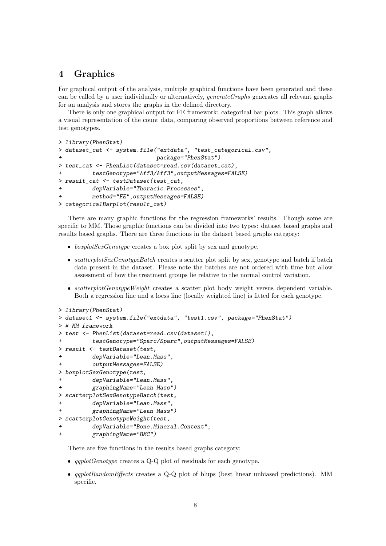## 4 Graphics

For graphical output of the analysis, multiple graphical functions have been generated and these can be called by a user individually or alternatively, generateGraphs generates all relevant graphs for an analysis and stores the graphs in the defined directory.

There is only one graphical output for FE framework: categorical bar plots. This graph allows a visual representation of the count data, comparing observed proportions between reference and test genotypes.

```
> library(PhenStat)
> dataset_cat <- system.file("extdata", "test_categorical.csv",
                            package="PhenStat")
> test_cat <- PhenList(dataset=read.csv(dataset_cat),
+ testGenotype="Aff3/Aff3",outputMessages=FALSE)
> result_cat <- testDataset(test_cat,
+ depVariable="Thoracic.Processes",
         method="FE", outputMessages=FALSE)
> categoricalBarplot(result_cat)
```
There are many graphic functions for the regression frameworks' results. Though some are specific to MM. Those graphic functions can be divided into two types: dataset based graphs and results based graphs. There are three functions in the dataset based graphs category:

- $\bullet$  *boxplotSexGenotype* creates a box plot split by sex and genotype.
- scatterplotSexGenotypeBatch creates a scatter plot split by sex, genotype and batch if batch data present in the dataset. Please note the batches are not ordered with time but allow assessment of how the treatment groups lie relative to the normal control variation.
- scatterplotGenotypeWeight creates a scatter plot body weight versus dependent variable. Both a regression line and a loess line (locally weighted line) is fitted for each genotype.

```
> library(PhenStat)
> dataset1 <- system.file("extdata", "test1.csv", package="PhenStat")
> # MM framework
> test <- PhenList(dataset=read.csv(dataset1),
+ testGenotype="Sparc/Sparc",outputMessages=FALSE)
> result <- testDataset(test,
+ depVariable="Lean.Mass",
+ outputMessages=FALSE)
> boxplotSexGenotype(test,
+ depVariable="Lean.Mass",
         graphingName="Lean Mass")
> scatterplotSexGenotypeBatch(test,
+ depVariable="Lean.Mass",
+ graphingName="Lean Mass")
> scatterplotGenotypeWeight(test,
         + depVariable="Bone.Mineral.Content",
+ graphingName="BMC")
```
There are five functions in the results based graphs category:

- $qqplotGenotype$  creates a Q-Q plot of residuals for each genotype.
- qqplotRandomEffects creates a Q-Q plot of blups (best linear unbiased predictions). MM specific.